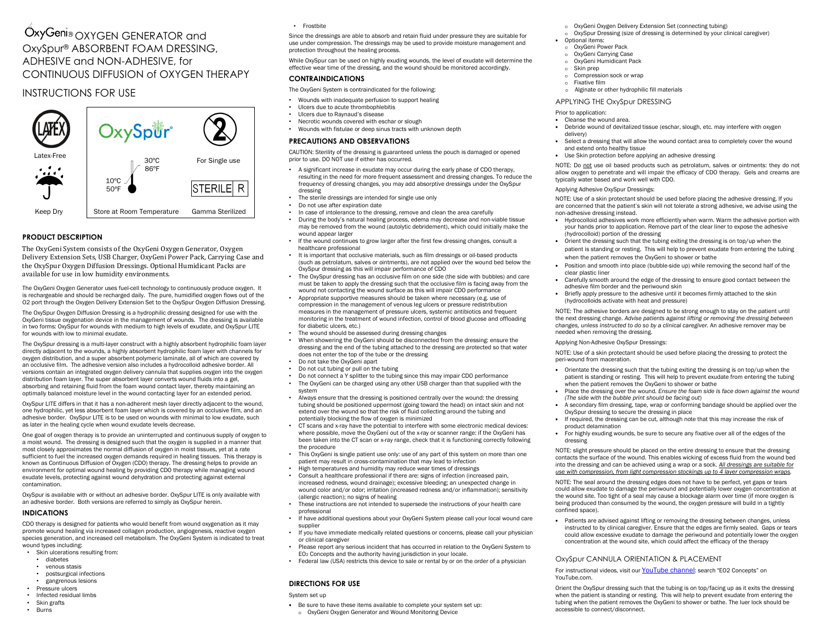# OxyGeni® OXYGEN GENERATOR and OxySpur® ABSORBENT FOAM DRESSING, ADHESIVE and NON-ADHESIVE, for CONTINUOUS DIFFUSION of OXYGEN THERAPY

# INSTRUCTIONS FOR USE



# **PRODUCT DESCRIPTION**

The OxyGeni System consists of the OxyGeni Oxygen Generator, Oxygen Delivery Extension Sets, USB Charger, OxyGeni Power Pack, Carrying Case and the OxySpur Oxygen Diffusion Dressings. Optional Humidicant Packs are available for use in low humidity environments.

The OxyGeni Oxygen Generator uses fuel-cell technology to continuously produce oxygen. It is rechargeable and should be recharged daily. The pure, humidified oxygen flows out of the O2 port through the Oxygen Delivery Extension Set to the OxySpur Oxygen Diffusion Dressing.

The OxySpur Oxygen Diffusion Dressing is a hydrophilic dressing designed for use with the OxyGeni tissue oxygenation device in the management of wounds. The dressing is available in two forms: OxySpur for wounds with medium to high levels of exudate, and OxySpur LITE for wounds with low to minimal exudate.

The OxySpur dressing is a multi-layer construct with a highly absorbent hydrophilic foam layer directly adjacent to the wounds, a highly absorbent hydrophilic foam layer with channels for oxygen distribution, and a super absorbent polymeric laminate, all of which are covered by an occlusive film. The adhesive version also includes a hydrocolloid adhesive border. All versions contain an integrated oxygen delivery cannula that supplies oxygen into the oxygen distribution foam layer. The super absorbent layer converts wound fluids into a gel, absorbing and retaining fluid from the foam wound contact layer, thereby maintaining an optimally balanced moisture level in the wound contacting layer for an extended period.

OxySpur LITE differs in that it has a non-adherent mesh layer directly adjacent to the wound, one hydrophilic, yet less absorbent foam layer which is covered by an occlusive film, and an adhesive border. OxySpur LITE is to be used on wounds with minimal to low exudate, such as later in the healing cycle when wound exudate levels decrease.

One goal of oxygen therapy is to provide an uninterrupted and continuous supply of oxygen to a moist wound. The dressing is designed such that the oxygen is supplied in a manner that most closely approximates the normal diffusion of oxygen in moist tissues, yet at a rate sufficient to fuel the increased oxygen demands required in healing tissues. This therapy is known as Continuous Diffusion of Oxygen (CDO) therapy. The dressing helps to provide an environment for optimal wound healing by providing CDO therapy while managing wound exudate levels, protecting against wound dehydration and protecting against external contamination.

OxySpur is available with or without an adhesive border. OxySpur LITE is only available with an adhesive border. Both versions are referred to simply as OxySpur herein.

# **INDICATIONS**

CDO therapy is designed for patients who would benefit from wound oxygenation as it may promote wound healing via increased collagen production, angiogenesis, reactive oxygen species generation, and increased cell metabolism. The OxyGeni System is indicated to treat wound types including:

- Skin ulcerations resulting from:
	- diabetes
	- venous stasis
	- postsurgical infections
- gangrenous lesions
- Pressure ulcers
- Infected residual limbs • Skin grafts
- Burns

• Frostbite

Since the dressings are able to absorb and retain fluid under pressure they are suitable for use under compression. The dressings may be used to provide moisture management and protection throughout the healing process.

While OxySpur can be used on highly exuding wounds, the level of exudate will determine the effective wear time of the dressing, and the wound should be monitored accordingly.

# **CONTRAINDICATIONS**

The OxyGeni System is contraindicated for the following:

- Wounds with inadequate perfusion to support healing
- Ulcers due to acute thrombophlebitis
- Ulcers due to Raynaud's disease
- Necrotic wounds covered with eschar or slough • Wounds with fistulae or deep sinus tracts with unknown depth

# **PRECAUTIONS AND OBSERVATIONS**

CAUTION: Sterility of the dressing is guaranteed unless the pouch is damaged or opened prior to use. DO NOT use if either has occurred.

- A significant increase in exudate may occur during the early phase of CDO therapy, resulting in the need for more frequent assessment and dressing changes. To reduce the frequency of dressing changes, you may add absorptive dressings under the OxySpur dressing
- The sterile dressings are intended for single use only
- Do not use after expiration date
- In case of intolerance to the dressing, remove and clean the area carefully
- During the body's natural healing process, edema may decrease and non-viable tissue may be removed from the wound (autolytic debridement), which could initially make the wound appear larger
- If the wound continues to grow larger after the first few dressing changes, consult a healthcare professional
- It is important that occlusive materials, such as film dressings or oil-based products (such as petrolatum, salves or ointments), are not applied over the wound bed below the OxySpur dressing as this will impair performance of CDO
- The OxySpur dressing has an occlusive film on one side (the side with bubbles) and care must be taken to apply the dressing such that the occlusive film is facing away from the wound not contacting the wound surface as this will impair CDO performance
- Appropriate supportive measures should be taken where necessary (e.g. use of compression in the management of venous leg ulcers or pressure redistribution measures in the management of pressure ulcers, systemic antibiotics and frequent monitoring in the treatment of wound infection, control of blood glucose and offloading for diabetic ulcers, etc.)
- The wound should be assessed during dressing changes
- When showering the OxyGeni should be disconnected from the dressing: ensure the dressing and the end of the tubing attached to the dressing are protected so that water does not enter the top of the tube or the dressing
- Do not take the OxyGeni apart
- Do not cut tubing or pull on the tubing
- Do not connect a Y splitter to the tubing since this may impair CDO performance • The OxyGeni can be charged using any other USB charger than that supplied with the
- system • Always ensure that the dressing is positioned centrally over the wound: the dressing tubing should be positioned uppermost (going toward the head) on intact skin and not extend over the wound so that the risk of fluid collecting around the tubing and potentially blocking the flow of oxygen is minimized
- CT scans and x-ray have the potential to interfere with some electronic medical devices: where possible, move the OxyGeni out of the x-ray or scanner range: if the OxyGeni has been taken into the CT scan or x-ray range, check that it is functioning correctly following the procedure
- This OxyGeni is single patient use only: use of any part of this system on more than one patient may result in cross-contamination that may lead to infection
- High temperatures and humidity may reduce wear times of dressings
- Consult a healthcare professional if there are: signs of infection (increased pain, increased redness, wound drainage); excessive bleeding; an unexpected change in wound color and/or odor; irritation (increased redness and/or inflammation); sensitivity (allergic reaction); no signs of healing
- These instructions are not intended to supersede the instructions of your health care professional
- If have additional questions about your OxyGeni System please call your local wound care supplier
- If you have immediate medically related questions or concerns, please call your physician or clinical caregiver
- Please report any serious incident that has occurred in relation to the OxyGeni System to EO2 Concepts and the authority having jurisdiction in your locale.
- Federal law (USA) restricts this device to sale or rental by or on the order of a physician

# **DIRECTIONS FOR USE**

#### System set up

- Be sure to have these items available to complete your system set up:
- o OxyGeni Oxygen Generator and Wound Monitoring Device
- o OxyGeni Oxygen Delivery Extension Set (connecting tubing)
- OxySpur Dressing (size of dressing is determined by your clinical caregiver)
- Optional items:
- oOxyGeni Power Pack
- o OxyGeni Carrying Case o
- OxyGeni Humidicant Pack Skin prep
- oCompression sock or wrap
- ooFixative film
- o Alginate or other hydrophilic fill materials

## APPLYING THE OxySpur DRESSING

#### Prior to application:

- Cleanse the wound area.
- • Debride wound of devitalized tissue (eschar, slough, etc. may interfere with oxygen delivery)
- Select a dressing that will allow the wound contact area to completely cover the wound •and extend onto healthy tissue
- Use Skin protection before applying an adhesive dressing

NOTE: Do not use oil based products such as petrolatum, salves or ointments: they do not allow oxygen to penetrate and will impair the efficacy of CDO therapy. Gels and creams are typically water based and work well with CDO.

#### Applying Adhesive OxySpur Dressings:

NOTE: Use of a skin protectant should be used before placing the adhesive dressing. If you are concerned that the patient's skin will not tolerate a strong adhesive, we advise using the non-adhesive dressing instead.

- Hydrocolloid adhesives work more efficiently when warm. Warm the adhesive portion with your hands prior to application. Remove part of the clear liner to expose the adhesive (hydrocolloid) portion of the dressing
- Orient the dressing such that the tubing exiting the dressing is on top/up when the patient is standing or resting. This will help to prevent exudate from entering the tubing when the patient removes the OxyGeni to shower or bathe
- Position and smooth into place (bubble-side up) while removing the second half of the clear plastic liner
- Carefully smooth around the edge of the dressing to ensure good contact between the •adhesive film border and the periwound skin
- Briefly apply pressure to the adhesive until it becomes firmly attached to the skin (hydrocolloids activate with heat and pressure)

NOTE: The adhesive borders are designed to be strong enough to stay on the patient until the next dressing change. *Advise patients against lifting or removing the dressing between changes, unless instructed to do so by a clinical caregiver.* An adhesive remover may be needed when removing the dressing.

### Applying Non-Adhesive OxySpur Dressings:

•

NOTE: Use of a skin protectant should be used before placing the dressing to protect the peri-wound from maceration.

- Orientate the dressing such that the tubing exiting the dressing is on top/up when the patient is standing or resting. This will help to prevent exudate from entering the tubing when the patient removes the OxyGeni to shower or bathe
- Place the dressing over the wound. *Ensure the foam side is face down against the wound(The side with the bubble print should be facing out*)
- A secondary film dressing, tape, wrap or conforming bandage should be applied over the OxySpur dressing to secure the dressing in place
- If required, the dressing can be cut, although note that this may increase the risk of product delamination
- For highly exuding wounds, be sure to secure any fixative over all of the edges of the dressing

NOTE: slight pressure should be placed on the entire dressing to ensure that the dressing contacts the surface of the wound. This enables wicking of excess fluid from the wound bed into the dressing and can be achieved using a wrap or a sock. *All dressings are suitable for use with compression, from light compression stockings up to 4 layer compression wraps.* 

NOTE: The seal around the dressing edges does not have to be perfect, yet gaps or tears could allow exudate to damage the periwound and potentially lower oxygen concentration at the wound site. Too tight of a seal may cause a blockage alarm over time (if more oxygen is being produced than consumed by the wound, the oxygen pressure will build in a tightly confined space).

• Patients are advised against lifting or removing the dressing between changes, unless instructed to by clinical caregiver. Ensure that the edges are firmly sealed. Gaps or tears could allow excessive exudate to damage the periwound and potentially lower the oxygen concentration at the wound site, which could affect the efficacy of the therapy

### OxySpur CANNULA ORIENTATION & PLACEMENT

For instructional videos, visit our YouTube channel: search "EO2 Concepts" on YouTube.com.

Orient the OxySpur dressing such that the tubing is on top/facing up as it exits the dressing when the patient is standing or resting. This will help to prevent exudate from entering the tubing when the patient removes the OxyGeni to shower or bathe. The luer lock should be accessible to connect/disconnect.